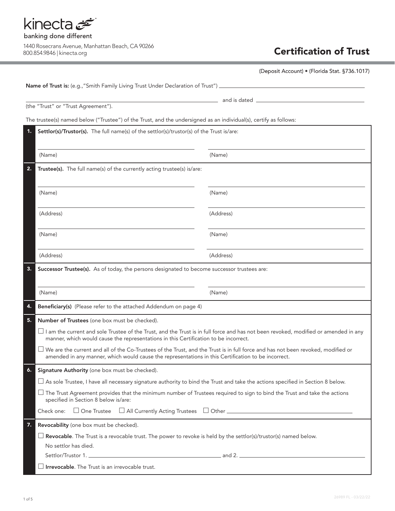

|                      | (Deposit Account) • (Florida Stat. §736.1017)                                                                                                                                                                                                                                  |           |  |  |
|----------------------|--------------------------------------------------------------------------------------------------------------------------------------------------------------------------------------------------------------------------------------------------------------------------------|-----------|--|--|
|                      |                                                                                                                                                                                                                                                                                |           |  |  |
|                      |                                                                                                                                                                                                                                                                                |           |  |  |
|                      | (the "Trust" or "Trust Agreement").                                                                                                                                                                                                                                            |           |  |  |
|                      | The trustee(s) named below ("Trustee") of the Trust, and the undersigned as an individual(s), certify as follows:                                                                                                                                                              |           |  |  |
| 1.                   | Settlor(s)/Trustor(s). The full name(s) of the settlor(s)/trustor(s) of the Trust is/are:                                                                                                                                                                                      |           |  |  |
|                      | (Name)                                                                                                                                                                                                                                                                         | (Name)    |  |  |
| 2.                   | Trustee(s). The full name(s) of the currently acting trustee(s) is/are:                                                                                                                                                                                                        |           |  |  |
|                      | (Name)                                                                                                                                                                                                                                                                         | (Name)    |  |  |
|                      | (Address)                                                                                                                                                                                                                                                                      | (Address) |  |  |
|                      | (Name)                                                                                                                                                                                                                                                                         | (Name)    |  |  |
|                      | (Address)                                                                                                                                                                                                                                                                      | (Address) |  |  |
| 3.                   | Successor Trustee(s). As of today, the persons designated to become successor trustees are:                                                                                                                                                                                    |           |  |  |
|                      |                                                                                                                                                                                                                                                                                |           |  |  |
|                      | (Name)                                                                                                                                                                                                                                                                         | (Name)    |  |  |
| 4.                   | Beneficiary(s) (Please refer to the attached Addendum on page 4)                                                                                                                                                                                                               |           |  |  |
| 5.                   | Number of Trustees (one box must be checked).                                                                                                                                                                                                                                  |           |  |  |
|                      | $\Box$ I am the current and sole Trustee of the Trust, and the Trust is in full force and has not been revoked, modified or amended in any<br>manner, which would cause the representations in this Certification to be incorrect.                                             |           |  |  |
|                      | $\Box$ We are the current and all of the Co-Trustees of the Trust, and the Trust is in full force and has not been revoked, modified or<br>amended in any manner, which would cause the representations in this Certification to be incorrect.                                 |           |  |  |
| 6.                   | Signature Authority (one box must be checked).                                                                                                                                                                                                                                 |           |  |  |
|                      | $\Box$ As sole Trustee, I have all necessary signature authority to bind the Trust and take the actions specified in Section 8 below.                                                                                                                                          |           |  |  |
|                      | $\Box$ The Trust Agreement provides that the minimum number of Trustees required to sign to bind the Trust and take the actions<br>specified in Section 8 below is/are:<br>Check one: $\Box$ One Trustee $\Box$ All Currently Acting Trustees $\Box$ Other $\Box$ Other $\Box$ |           |  |  |
|                      |                                                                                                                                                                                                                                                                                |           |  |  |
| 7.                   | Revocability (one box must be checked).                                                                                                                                                                                                                                        |           |  |  |
|                      | $\Box$ Revocable. The Trust is a revocable trust. The power to revoke is held by the settlor(s)/trustor(s) named below.                                                                                                                                                        |           |  |  |
| No settlor has died. |                                                                                                                                                                                                                                                                                |           |  |  |
|                      |                                                                                                                                                                                                                                                                                |           |  |  |
|                      | $\Box$ Irrevocable. The Trust is an irrevocable trust.                                                                                                                                                                                                                         |           |  |  |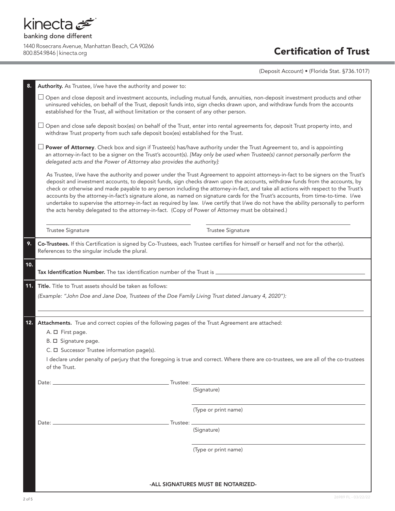

(Deposit Account) • (Florida Stat. §736.1017)

| 8.  | Authority. As Trustee, I/we have the authority and power to:                                                                                                                                                                                                                                                                                                                                                                                                                                                                                                                                                                                                                                                                                                                             |                      |  |
|-----|------------------------------------------------------------------------------------------------------------------------------------------------------------------------------------------------------------------------------------------------------------------------------------------------------------------------------------------------------------------------------------------------------------------------------------------------------------------------------------------------------------------------------------------------------------------------------------------------------------------------------------------------------------------------------------------------------------------------------------------------------------------------------------------|----------------------|--|
|     | Open and close deposit and investment accounts, including mutual funds, annuities, non-deposit investment products and other<br>ப<br>uninsured vehicles, on behalf of the Trust, deposit funds into, sign checks drawn upon, and withdraw funds from the accounts<br>established for the Trust, all without limitation or the consent of any other person.                                                                                                                                                                                                                                                                                                                                                                                                                               |                      |  |
|     | Open and close safe deposit box(es) on behalf of the Trust, enter into rental agreements for, deposit Trust property into, and<br>⊔<br>withdraw Trust property from such safe deposit box(es) established for the Trust.                                                                                                                                                                                                                                                                                                                                                                                                                                                                                                                                                                 |                      |  |
|     | Power of Attorney. Check box and sign if Trustee(s) has/have authority under the Trust Agreement to, and is appointing<br>an attorney-in-fact to be a signer on the Trust's account(s). [May only be used when Trustee(s) cannot personally perform the<br>delegated acts and the Power of Attorney also provides the authority]:                                                                                                                                                                                                                                                                                                                                                                                                                                                        |                      |  |
|     | As Trustee, I/we have the authority and power under the Trust Agreement to appoint attorneys-in-fact to be signers on the Trust's<br>deposit and investment accounts, to deposit funds, sign checks drawn upon the accounts, withdraw funds from the accounts, by<br>check or otherwise and made payable to any person including the attorney-in-fact, and take all actions with respect to the Trust's<br>accounts by the attorney-in-fact's signature alone, as named on signature cards for the Trust's accounts, from time-to-time. I/we<br>undertake to supervise the attorney-in-fact as required by law. I/we certify that I/we do not have the ability personally to perform<br>the acts hereby delegated to the attorney-in-fact. (Copy of Power of Attorney must be obtained.) |                      |  |
|     | <b>Trustee Signature</b>                                                                                                                                                                                                                                                                                                                                                                                                                                                                                                                                                                                                                                                                                                                                                                 | Trustee Signature    |  |
| 9.  | Co-Trustees. If this Certification is signed by Co-Trustees, each Trustee certifies for himself or herself and not for the other(s).<br>References to the singular include the plural.                                                                                                                                                                                                                                                                                                                                                                                                                                                                                                                                                                                                   |                      |  |
| 10. | Tax Identification Number. The tax identification number of the Trust is ______________                                                                                                                                                                                                                                                                                                                                                                                                                                                                                                                                                                                                                                                                                                  |                      |  |
| 11. | Title. Title to Trust assets should be taken as follows:                                                                                                                                                                                                                                                                                                                                                                                                                                                                                                                                                                                                                                                                                                                                 |                      |  |
|     | (Example: "John Doe and Jane Doe, Trustees of the Doe Family Living Trust dated January 4, 2020"):                                                                                                                                                                                                                                                                                                                                                                                                                                                                                                                                                                                                                                                                                       |                      |  |
| 12. | Attachments. True and correct copies of the following pages of the Trust Agreement are attached:                                                                                                                                                                                                                                                                                                                                                                                                                                                                                                                                                                                                                                                                                         |                      |  |
|     | A. $\square$ First page.                                                                                                                                                                                                                                                                                                                                                                                                                                                                                                                                                                                                                                                                                                                                                                 |                      |  |
|     | B. □ Signature page.                                                                                                                                                                                                                                                                                                                                                                                                                                                                                                                                                                                                                                                                                                                                                                     |                      |  |
|     | C. $\Box$ Successor Trustee information page(s).                                                                                                                                                                                                                                                                                                                                                                                                                                                                                                                                                                                                                                                                                                                                         |                      |  |
|     | I declare under penalty of perjury that the foregoing is true and correct. Where there are co-trustees, we are all of the co-trustees<br>of the Trust.                                                                                                                                                                                                                                                                                                                                                                                                                                                                                                                                                                                                                                   |                      |  |
|     |                                                                                                                                                                                                                                                                                                                                                                                                                                                                                                                                                                                                                                                                                                                                                                                          |                      |  |
|     |                                                                                                                                                                                                                                                                                                                                                                                                                                                                                                                                                                                                                                                                                                                                                                                          | (Signature)          |  |
|     |                                                                                                                                                                                                                                                                                                                                                                                                                                                                                                                                                                                                                                                                                                                                                                                          | (Type or print name) |  |
|     | $Date:$ $\_\_$                                                                                                                                                                                                                                                                                                                                                                                                                                                                                                                                                                                                                                                                                                                                                                           |                      |  |
|     |                                                                                                                                                                                                                                                                                                                                                                                                                                                                                                                                                                                                                                                                                                                                                                                          | (Signature)          |  |
|     |                                                                                                                                                                                                                                                                                                                                                                                                                                                                                                                                                                                                                                                                                                                                                                                          | (Type or print name) |  |
|     |                                                                                                                                                                                                                                                                                                                                                                                                                                                                                                                                                                                                                                                                                                                                                                                          |                      |  |
|     | -ALL SIGNATURES MUST BE NOTARIZED-                                                                                                                                                                                                                                                                                                                                                                                                                                                                                                                                                                                                                                                                                                                                                       |                      |  |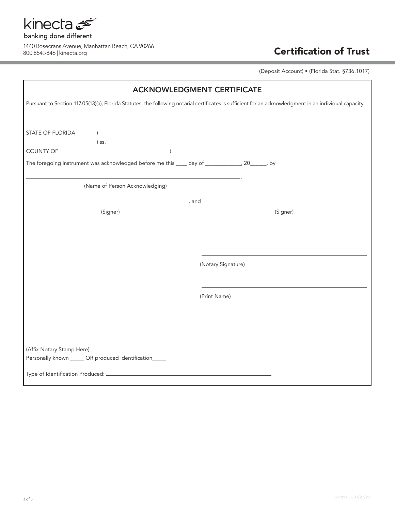

(Deposit Account) • (Florida Stat. §736.1017)

| <b>ACKNOWLEDGMENT CERTIFICATE</b>                                                                                                                       |                    |  |  |  |
|---------------------------------------------------------------------------------------------------------------------------------------------------------|--------------------|--|--|--|
| Pursuant to Section 117.05(13)(a), Florida Statutes, the following notarial certificates is sufficient for an acknowledgment in an individual capacity. |                    |  |  |  |
| STATE OF FLORIDA<br>$\left( \right)$<br>) ss.                                                                                                           |                    |  |  |  |
| The foregoing instrument was acknowledged before me this ____ day of ____________, 20______, by                                                         |                    |  |  |  |
| (Name of Person Acknowledging)                                                                                                                          |                    |  |  |  |
|                                                                                                                                                         |                    |  |  |  |
| (Signer)                                                                                                                                                | (Signer)           |  |  |  |
|                                                                                                                                                         |                    |  |  |  |
|                                                                                                                                                         |                    |  |  |  |
|                                                                                                                                                         |                    |  |  |  |
|                                                                                                                                                         | (Notary Signature) |  |  |  |
|                                                                                                                                                         |                    |  |  |  |
|                                                                                                                                                         | (Print Name)       |  |  |  |
|                                                                                                                                                         |                    |  |  |  |
|                                                                                                                                                         |                    |  |  |  |
|                                                                                                                                                         |                    |  |  |  |
|                                                                                                                                                         |                    |  |  |  |
| (Affix Notary Stamp Here)                                                                                                                               |                    |  |  |  |
| Personally known ______ OR produced identification_____                                                                                                 |                    |  |  |  |
|                                                                                                                                                         |                    |  |  |  |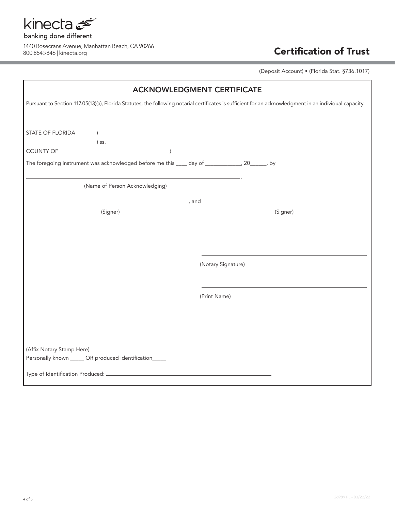

(Deposit Account) • (Florida Stat. §736.1017)

| <b>ACKNOWLEDGMENT CERTIFICATE</b>                                                                                                                       |                    |  |  |  |
|---------------------------------------------------------------------------------------------------------------------------------------------------------|--------------------|--|--|--|
| Pursuant to Section 117.05(13)(a), Florida Statutes, the following notarial certificates is sufficient for an acknowledgment in an individual capacity. |                    |  |  |  |
| STATE OF FLORIDA<br>$\left( \right)$<br>) ss.<br>The foregoing instrument was acknowledged before me this ____ day of _____________, 20______, by       |                    |  |  |  |
| (Name of Person Acknowledging)                                                                                                                          |                    |  |  |  |
|                                                                                                                                                         |                    |  |  |  |
| (Signer)                                                                                                                                                | (Signer)           |  |  |  |
|                                                                                                                                                         |                    |  |  |  |
|                                                                                                                                                         |                    |  |  |  |
|                                                                                                                                                         | (Notary Signature) |  |  |  |
|                                                                                                                                                         |                    |  |  |  |
|                                                                                                                                                         | (Print Name)       |  |  |  |
|                                                                                                                                                         |                    |  |  |  |
|                                                                                                                                                         |                    |  |  |  |
|                                                                                                                                                         |                    |  |  |  |
| (Affix Notary Stamp Here)<br>Personally known ______ OR produced identification_____                                                                    |                    |  |  |  |
|                                                                                                                                                         |                    |  |  |  |